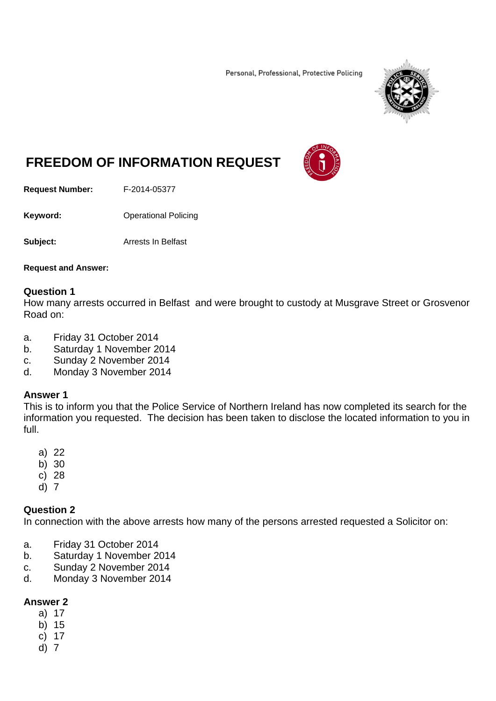Personal, Professional, Protective Policing



# **FREEDOM OF INFORMATION REQUEST**

**Request Number:** F-2014-05377

**Keyword: Confidence Operational Policing** 

**Subject:** Arrests In Belfast

**Request and Answer:** 

#### **Question 1**

How many arrests occurred in Belfast and were brought to custody at Musgrave Street or Grosvenor Road on:

- a. Friday 31 October 2014
- b. Saturday 1 November 2014
- c. Sunday 2 November 2014
- d. Monday 3 November 2014

#### **Answer 1**

This is to inform you that the Police Service of Northern Ireland has now completed its search for the information you requested. The decision has been taken to disclose the located information to you in full.

- a) 22
- b) 30
- c) 28
- d) 7

### **Question 2**

In connection with the above arrests how many of the persons arrested requested a Solicitor on:

- a. Friday 31 October 2014
- b. Saturday 1 November 2014
- c. Sunday 2 November 2014
- d. Monday 3 November 2014

### **Answer 2**

- a) 17
- b) 15
- c) 17
- d) 7